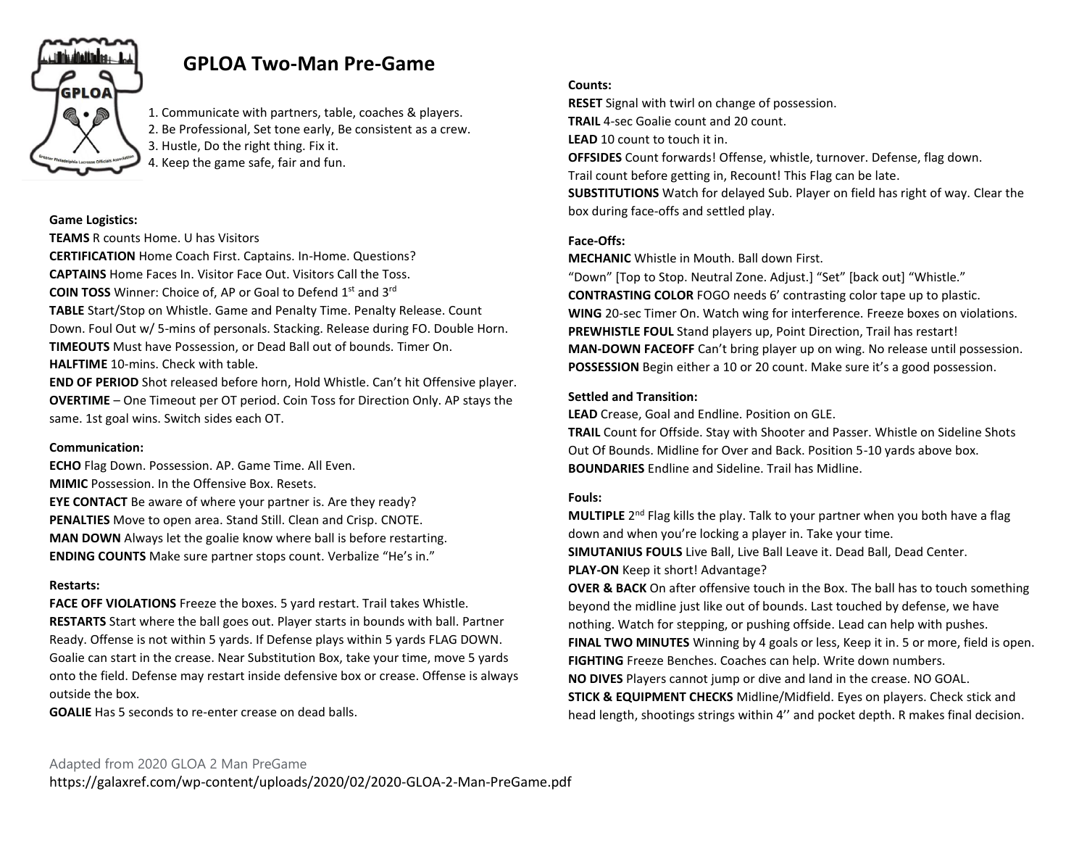

# **GPLOA Two-Man Pre-Game**

1. Communicate with partners, table, coaches & players. 2. Be Professional, Set tone early, Be consistent as a crew. 3. Hustle, Do the right thing. Fix it. 4. Keep the game safe, fair and fun.

#### **Game Logistics:**

**TEAMS** R counts Home. U has Visitors

**CERTIFICATION** Home Coach First. Captains. In-Home. Questions? **CAPTAINS** Home Faces In. Visitor Face Out. Visitors Call the Toss. **COIN TOSS** Winner: Choice of, AP or Goal to Defend 1st and 3rd **TABLE** Start/Stop on Whistle. Game and Penalty Time. Penalty Release. Count Down. Foul Out w/ 5-mins of personals. Stacking. Release during FO. Double Horn. **TIMEOUTS** Must have Possession, or Dead Ball out of bounds. Timer On. **HALFTIME** 10-mins. Check with table.

**END OF PERIOD** Shot released before horn, Hold Whistle. Can't hit Offensive player. **OVERTIME** – One Timeout per OT period. Coin Toss for Direction Only. AP stays the same. 1st goal wins. Switch sides each OT.

#### **Communication:**

**ECHO** Flag Down. Possession. AP. Game Time. All Even. **MIMIC** Possession. In the Offensive Box. Resets. **EYE CONTACT** Be aware of where your partner is. Are they ready? **PENALTIES** Move to open area. Stand Still. Clean and Crisp. CNOTE. **MAN DOWN** Always let the goalie know where ball is before restarting. **ENDING COUNTS** Make sure partner stops count. Verbalize "He's in."

#### **Restarts:**

**FACE OFF VIOLATIONS** Freeze the boxes. 5 yard restart. Trail takes Whistle. **RESTARTS** Start where the ball goes out. Player starts in bounds with ball. Partner Ready. Offense is not within 5 yards. If Defense plays within 5 yards FLAG DOWN. Goalie can start in the crease. Near Substitution Box, take your time, move 5 yards onto the field. Defense may restart inside defensive box or crease. Offense is always outside the box.

**GOALIE** Has 5 seconds to re-enter crease on dead balls.

## **Counts:**

**RESET** Signal with twirl on change of possession. **TRAIL** 4-sec Goalie count and 20 count. **LEAD** 10 count to touch it in. **OFFSIDES** Count forwards! Offense, whistle, turnover. Defense, flag down. Trail count before getting in, Recount! This Flag can be late. **SUBSTITUTIONS** Watch for delayed Sub. Player on field has right of way. Clear the box during face-offs and settled play.

## **Face-Offs:**

**MECHANIC** Whistle in Mouth. Ball down First.

"Down" [Top to Stop. Neutral Zone. Adjust.] "Set" [back out] "Whistle." **CONTRASTING COLOR** FOGO needs 6' contrasting color tape up to plastic. **WING** 20-sec Timer On. Watch wing for interference. Freeze boxes on violations. **PREWHISTLE FOUL** Stand players up, Point Direction, Trail has restart! **MAN-DOWN FACEOFF** Can't bring player up on wing. No release until possession. **POSSESSION** Begin either a 10 or 20 count. Make sure it's a good possession.

## **Settled and Transition:**

**LEAD** Crease, Goal and Endline. Position on GLE.

**TRAIL** Count for Offside. Stay with Shooter and Passer. Whistle on Sideline Shots Out Of Bounds. Midline for Over and Back. Position 5-10 yards above box. **BOUNDARIES** Endline and Sideline. Trail has Midline.

## **Fouls:**

**MULTIPLE** 2<sup>nd</sup> Flag kills the play. Talk to your partner when you both have a flag down and when you're locking a player in. Take your time. **SIMUTANIUS FOULS** Live Ball, Live Ball Leave it. Dead Ball, Dead Center. **PLAY-ON** Keep it short! Advantage?

**OVER & BACK** On after offensive touch in the Box. The ball has to touch something beyond the midline just like out of bounds. Last touched by defense, we have nothing. Watch for stepping, or pushing offside. Lead can help with pushes. **FINAL TWO MINUTES** Winning by 4 goals or less, Keep it in. 5 or more, field is open. **FIGHTING** Freeze Benches. Coaches can help. Write down numbers. **NO DIVES** Players cannot jump or dive and land in the crease. NO GOAL.

**STICK & EQUIPMENT CHECKS** Midline/Midfield. Eyes on players. Check stick and head length, shootings strings within 4'' and pocket depth. R makes final decision.

## Adapted from 2020 GLOA 2 Man PreGame

https://galaxref.com/wp-content/uploads/2020/02/2020-GLOA-2-Man-PreGame.pdf